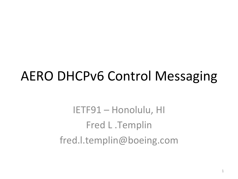### **AERO DHCPv6 Control Messaging**

IETF91 - Honolulu, HI Fred L.Templin fred.l.templin@boeing.com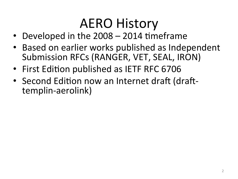## **AERO History**

- Developed in the  $2008 2014$  timeframe
- Based on earlier works published as Independent Submission RFCs (RANGER, VET, SEAL, IRON)
- First Edition published as IETF RFC 6706
- Second Edition now an Internet draft (drafttemplin-aerolink)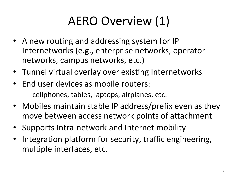### AERO Overview (1)

- A new routing and addressing system for IP Internetworks (e.g., enterprise networks, operator networks, campus networks, etc.)
- Tunnel virtual overlay over existing Internetworks
- End user devices as mobile routers:  $-$  cellphones, tables, laptops, airplanes, etc.
- Mobiles maintain stable IP address/prefix even as they move between access network points of attachment
- Supports Intra-network and Internet mobility
- Integration platform for security, traffic engineering, multiple interfaces, etc.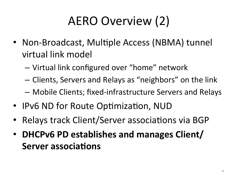## AERO Overview (2)

- Non-Broadcast, Multiple Access (NBMA) tunnel virtual link model
	- $-$  Virtual link configured over "home" network
	- Clients, Servers and Relays as "neighbors" on the link
	- $-$  Mobile Clients; fixed-infrastructure Servers and Relays
- IPv6 ND for Route Optimization, NUD
- Relays track Client/Server associations via BGP
- **DHCPv6 PD establishes and manages Client/ Server associations**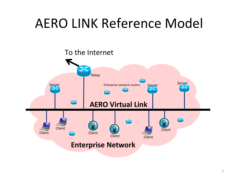## **AERO LINK Reference Model**

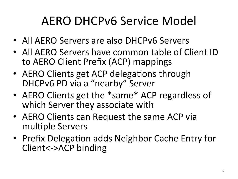#### AERO DHCPv6 Service Model

- All AERO Servers are also DHCPv6 Servers
- All AERO Servers have common table of Client ID to AERO Client Prefix (ACP) mappings
- AERO Clients get ACP delegations through DHCPv6 PD via a "nearby" Server
- AERO Clients get the \*same\* ACP regardless of which Server they associate with
- AERO Clients can Request the same ACP via multiple Servers
- Prefix Delegation adds Neighbor Cache Entry for Client<->ACP binding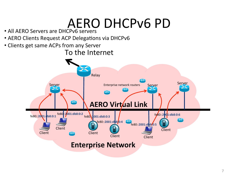## AERO DHCPv6 PD

- All AERO Servers are DHCPv6 servers
- AERO Clients Request ACP Delegations via DHCPv6
- Clients get same ACPs from any Server

#### To the Internet

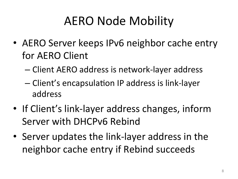#### AERO Node Mobility

- AERO Server keeps IPv6 neighbor cache entry for AERO Client
	- Client AERO address is network-layer address
	- Client's encapsulation IP address is link-layer address
- If Client's link-layer address changes, inform Server with DHCPv6 Rebind
- Server updates the link-layer address in the neighbor cache entry if Rebind succeeds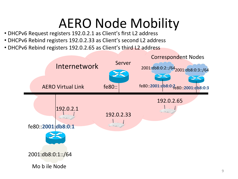## **AERO Node Mobility**

- DHCPv6 Request registers 192.0.2.1 as Client's first L2 address
- DHCPv6 Rebind registers 192.0.2.33 as Client's second L2 address
- DHCPv6 Rebind registers 192.0.2.65 as Client's third L2 address

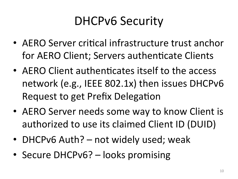#### DHCPv6 Security

- AERO Server critical infrastructure trust anchor for AERO Client; Servers authenticate Clients
- AERO Client authenticates itself to the access network (e.g., IEEE 802.1x) then issues DHCPv6 Request to get Prefix Delegation
- AERO Server needs some way to know Client is authorized to use its claimed Client ID (DUID)
- DHCPv6 Auth? not widely used; weak
- Secure DHCPv6? looks promising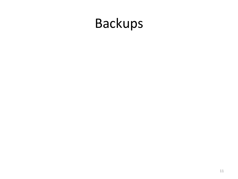# Backups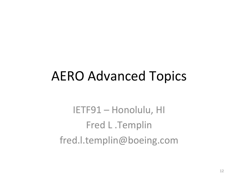#### **AERO Advanced Topics**

IETF91 - Honolulu, HI Fred L .Templin fred.l.templin@boeing.com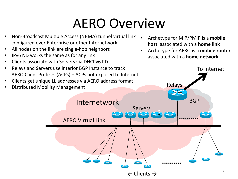## AERO Overview

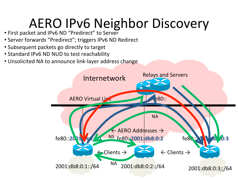## AERO IPv6 Neighbor Discovery

- First packet and IPv6 ND "Predirect" to Server
- Server forwards "Predirect"; triggers IPv6 ND Redirect
- Subsequent packets go directly to target
- Standard IPv6 ND NUD to test reachability
- Unsolicited NA to announce link-layer address change

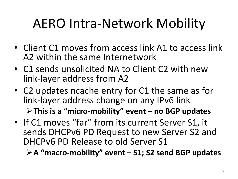# AERO Intra-Network Mobility

- Client C1 moves from access link A1 to access link A2 within the same Internetwork
- C1 sends unsolicited NA to Client C2 with new link-layer address from A2
- C2 updates ncache entry for C1 the same as for link-layer address change on any IPv6 link

 $\triangleright$  This is a "micro-mobility" event – no BGP updates

• If C1 moves "far" from its current Server S1, it sends DHCPv6 PD Request to new Server S2 and DHCPv6 PD Release to old Server S1

**≻A "macro-mobility" event – S1; S2 send BGP updates**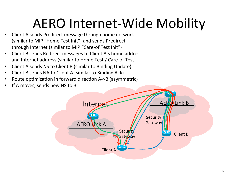## AERO Internet-Wide Mobility

- Client A sends Predirect message through home network (similar to MIP "Home Test Init") and sends Predirect through Internet (similar to MIP "Care-of Test Init")
- Client B sends Redirect messages to Client A's home address and Internet address (similar to Home Test / Care-of Test)
- Client A sends NS to Client B (similar to Binding Update)
- Client B sends NA to Client A (similar to Binding Ack)
- Route optimization in forward direction A->B (asymmetric)
- If A moves, sends new NS to B

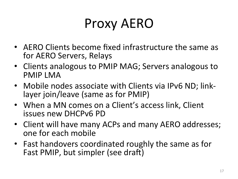## Proxy AERO

- AERO Clients become fixed infrastructure the same as for AERO Servers, Relays
- Clients analogous to PMIP MAG; Servers analogous to PMIP LMA
- Mobile nodes associate with Clients via IPv6 ND; linklayer join/leave (same as for PMIP)
- When a MN comes on a Client's access link, Client issues new DHCPv6 PD
- Client will have many ACPs and many AERO addresses; one for each mobile
- Fast handovers coordinated roughly the same as for Fast PMIP, but simpler (see draft)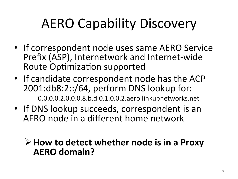# **AERO Capability Discovery**

- If correspondent node uses same AERO Service Prefix (ASP), Internetwork and Internet-wide Route Optimization supported
- If candidate correspondent node has the ACP 2001:db8:2::/64, perform DNS lookup for: 0.0.0.0.2.0.0.0.8.b.d.0.1.0.0.2.aero.linkupnetworks.net
- If DNS lookup succeeds, correspondent is an AERO node in a different home network

#### **≻** How to detect whether node is in a Proxy **AERO domain?**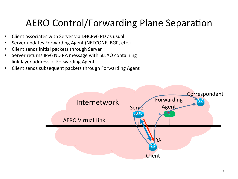#### AERO Control/Forwarding Plane Separation

- Client associates with Server via DHCPv6 PD as usual
- Server updates Forwarding Agent (NETCONF, BGP, etc.)
- Client sends initial packets through Server
- Server returns IPv6 ND RA message with SLLAO containing link-layer address of Forwarding Agent
- Client sends subsequent packets through Forwarding Agent

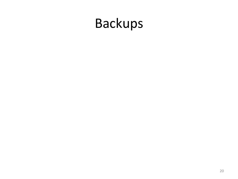# Backups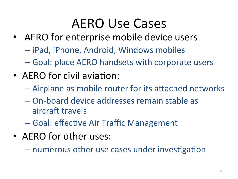### **AERO** Use Cases

- AERO for enterprise mobile device users
	- $-$  iPad, iPhone, Android, Windows mobiles
	- Goal: place AERO handsets with corporate users
- AERO for civil aviation:
	- $-$  Airplane as mobile router for its attached networks
	- On-board device addresses remain stable as aircraft travels
	- $-$  Goal: effective Air Traffic Management
- AERO for other uses:
	- numerous other use cases under investigation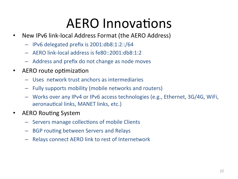## **AERO** Innovations

- New IPv6 link-local Address Format (the AERO Address)
	- $-$  IPv6 delegated prefix is 2001:db8:1:2::/64
	- $-$  AERO link-local address is  $fe80::2001:d b8:1:2$
	- $-$  Address and prefix do not change as node moves
- AERO route optimization
	- Uses network trust anchors as intermediaries
	- $-$  Fully supports mobility (mobile networks and routers)
	- Works over any IPv4 or IPv6 access technologies (e.g., Ethernet, 3G/4G, WiFi, aeronautical links, MANET links, etc.)
- **AERO Routing System** 
	- Servers manage collections of mobile Clients
	- $-$  BGP routing between Servers and Relays
	- $-$  Relays connect AERO link to rest of Internetwork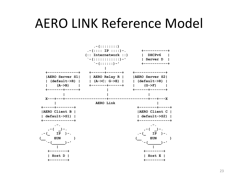#### **AERO LINK Reference Model**

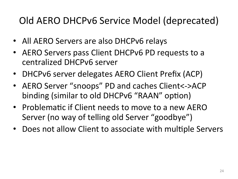#### Old AERO DHCPv6 Service Model (deprecated)

- All AERO Servers are also DHCPv6 relays
- AERO Servers pass Client DHCPv6 PD requests to a centralized DHCPv6 server
- DHCPv6 server delegates AERO Client Prefix (ACP)
- AERO Server "snoops" PD and caches Client<->ACP binding (similar to old DHCPv6 "RAAN" option)
- Problematic if Client needs to move to a new AERO Server (no way of telling old Server "goodbye")
- Does not allow Client to associate with multiple Servers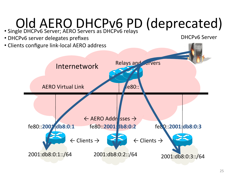